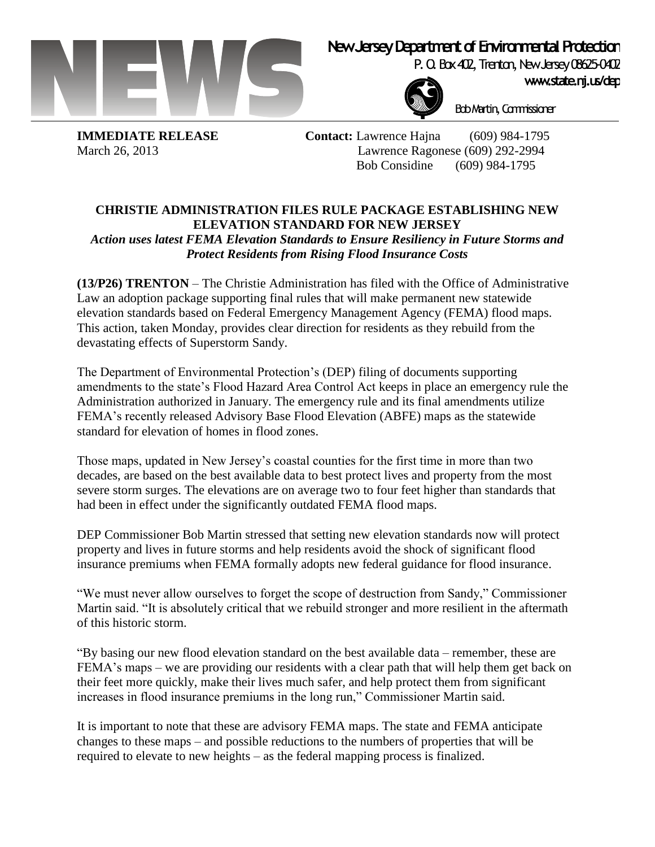

## **New Jersey Department of Environmental Protection**

P. O. Box 402, Trenton, New Jersey 08625-0402



Bob Martin, Commissioner

**IMMEDIATE RELEASE Contact:** Lawrence Hajna (609) 984-1795 March 26, 2013 Lawrence Ragonese (609) 292-2994 Bob Considine (609) 984-1795

## **CHRISTIE ADMINISTRATION FILES RULE PACKAGE ESTABLISHING NEW ELEVATION STANDARD FOR NEW JERSEY**

*Action uses latest FEMA Elevation Standards to Ensure Resiliency in Future Storms and Protect Residents from Rising Flood Insurance Costs*

**(13/P26) TRENTON** – The Christie Administration has filed with the Office of Administrative Law an adoption package supporting final rules that will make permanent new statewide elevation standards based on Federal Emergency Management Agency (FEMA) flood maps. This action, taken Monday, provides clear direction for residents as they rebuild from the devastating effects of Superstorm Sandy.

The Department of Environmental Protection's (DEP) filing of documents supporting amendments to the state's Flood Hazard Area Control Act keeps in place an emergency rule the Administration authorized in January. The emergency rule and its final amendments utilize FEMA's recently released Advisory Base Flood Elevation (ABFE) maps as the statewide standard for elevation of homes in flood zones.

Those maps, updated in New Jersey's coastal counties for the first time in more than two decades, are based on the best available data to best protect lives and property from the most severe storm surges. The elevations are on average two to four feet higher than standards that had been in effect under the significantly outdated FEMA flood maps.

DEP Commissioner Bob Martin stressed that setting new elevation standards now will protect property and lives in future storms and help residents avoid the shock of significant flood insurance premiums when FEMA formally adopts new federal guidance for flood insurance.

"We must never allow ourselves to forget the scope of destruction from Sandy," Commissioner Martin said. "It is absolutely critical that we rebuild stronger and more resilient in the aftermath of this historic storm.

"By basing our new flood elevation standard on the best available data – remember, these are FEMA's maps – we are providing our residents with a clear path that will help them get back on their feet more quickly, make their lives much safer, and help protect them from significant increases in flood insurance premiums in the long run," Commissioner Martin said.

It is important to note that these are advisory FEMA maps. The state and FEMA anticipate changes to these maps – and possible reductions to the numbers of properties that will be required to elevate to new heights – as the federal mapping process is finalized.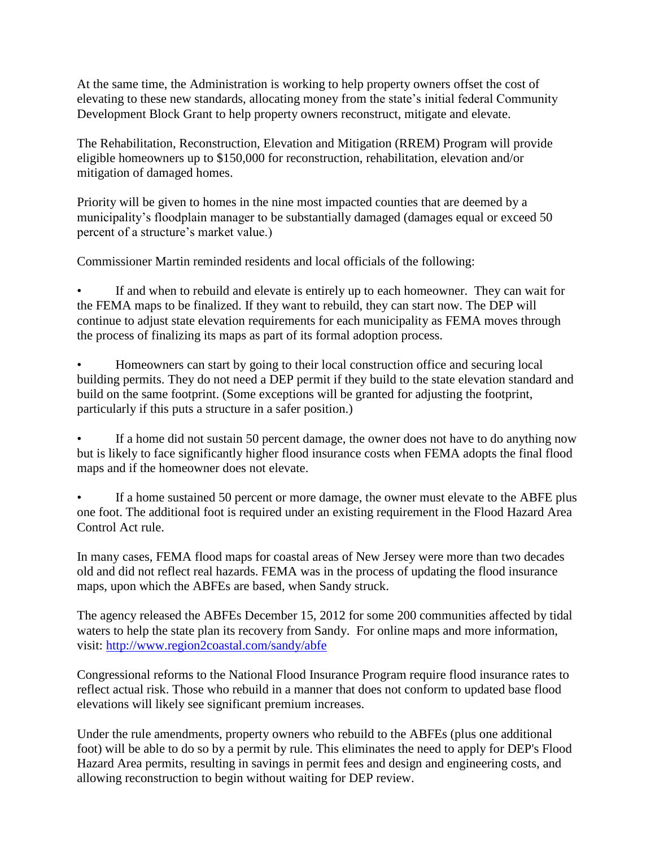At the same time, the Administration is working to help property owners offset the cost of elevating to these new standards, allocating money from the state's initial federal Community Development Block Grant to help property owners reconstruct, mitigate and elevate.

The Rehabilitation, Reconstruction, Elevation and Mitigation (RREM) Program will provide eligible homeowners up to \$150,000 for reconstruction, rehabilitation, elevation and/or mitigation of damaged homes.

Priority will be given to homes in the nine most impacted counties that are deemed by a municipality's floodplain manager to be substantially damaged (damages equal or exceed 50 percent of a structure's market value.)

Commissioner Martin reminded residents and local officials of the following:

If and when to rebuild and elevate is entirely up to each homeowner. They can wait for the FEMA maps to be finalized. If they want to rebuild, they can start now. The DEP will continue to adjust state elevation requirements for each municipality as FEMA moves through the process of finalizing its maps as part of its formal adoption process.

• Homeowners can start by going to their local construction office and securing local building permits. They do not need a DEP permit if they build to the state elevation standard and build on the same footprint. (Some exceptions will be granted for adjusting the footprint, particularly if this puts a structure in a safer position.)

If a home did not sustain 50 percent damage, the owner does not have to do anything now but is likely to face significantly higher flood insurance costs when FEMA adopts the final flood maps and if the homeowner does not elevate.

If a home sustained 50 percent or more damage, the owner must elevate to the ABFE plus one foot. The additional foot is required under an existing requirement in the Flood Hazard Area Control Act rule.

In many cases, FEMA flood maps for coastal areas of New Jersey were more than two decades old and did not reflect real hazards. FEMA was in the process of updating the flood insurance maps, upon which the ABFEs are based, when Sandy struck.

The agency released the ABFEs December 15, 2012 for some 200 communities affected by tidal waters to help the state plan its recovery from Sandy. For online maps and more information, visit:<http://www.region2coastal.com/sandy/abfe>

Congressional reforms to the National Flood Insurance Program require flood insurance rates to reflect actual risk. Those who rebuild in a manner that does not conform to updated base flood elevations will likely see significant premium increases.

Under the rule amendments, property owners who rebuild to the ABFEs (plus one additional foot) will be able to do so by a permit by rule. This eliminates the need to apply for DEP's Flood Hazard Area permits, resulting in savings in permit fees and design and engineering costs, and allowing reconstruction to begin without waiting for DEP review.